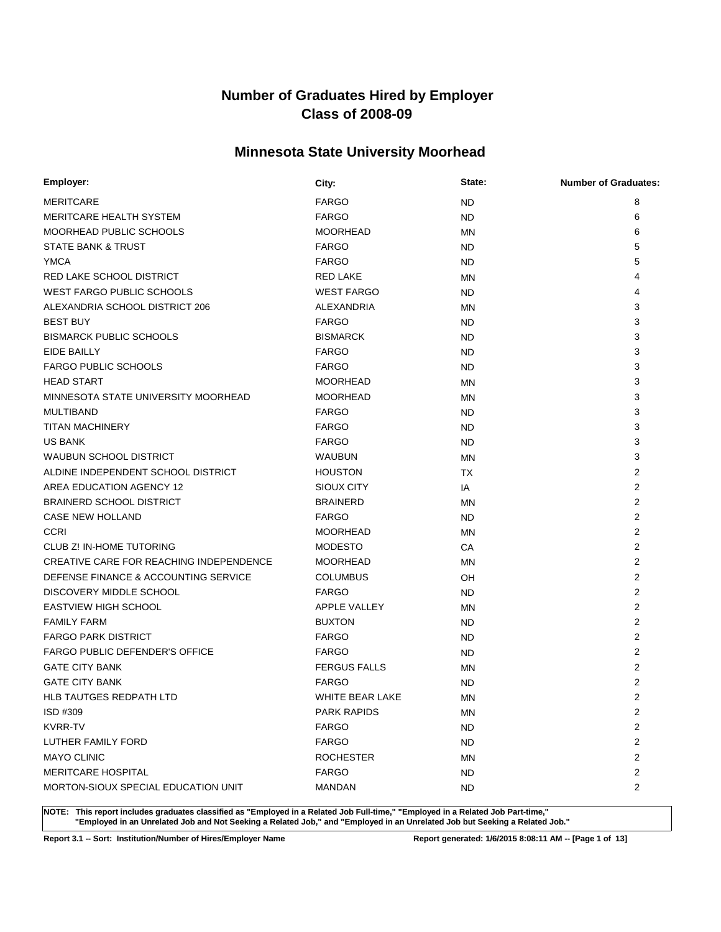### **Minnesota State University Moorhead**

| Employer:                                      | City:                  | State:    | <b>Number of Graduates:</b> |
|------------------------------------------------|------------------------|-----------|-----------------------------|
| <b>MERITCARE</b>                               | <b>FARGO</b>           | <b>ND</b> | 8                           |
| <b>MERITCARE HEALTH SYSTEM</b>                 | <b>FARGO</b>           | <b>ND</b> | 6                           |
| MOORHEAD PUBLIC SCHOOLS                        | <b>MOORHEAD</b>        | <b>MN</b> | 6                           |
| <b>STATE BANK &amp; TRUST</b>                  | <b>FARGO</b>           | ND.       | 5                           |
| <b>YMCA</b>                                    | <b>FARGO</b>           | ND.       | 5                           |
| RED LAKE SCHOOL DISTRICT                       | <b>RED LAKE</b>        | MN        |                             |
| <b>WEST FARGO PUBLIC SCHOOLS</b>               | <b>WEST FARGO</b>      | ND.       | 4                           |
| ALEXANDRIA SCHOOL DISTRICT 206                 | <b>ALEXANDRIA</b>      | MN        | 3                           |
| <b>BEST BUY</b>                                | <b>FARGO</b>           | ND.       | 3                           |
| <b>BISMARCK PUBLIC SCHOOLS</b>                 | <b>BISMARCK</b>        | ND        | 3                           |
| EIDE BAILLY                                    | <b>FARGO</b>           | <b>ND</b> | 3                           |
| <b>FARGO PUBLIC SCHOOLS</b>                    | <b>FARGO</b>           | ND.       | 3                           |
| <b>HEAD START</b>                              | <b>MOORHEAD</b>        | <b>MN</b> | 3                           |
| MINNESOTA STATE UNIVERSITY MOORHEAD            | <b>MOORHEAD</b>        | <b>MN</b> | 3                           |
| <b>MULTIBAND</b>                               | <b>FARGO</b>           | ND.       | 3                           |
| TITAN MACHINERY                                | <b>FARGO</b>           | ND.       | 3                           |
| US BANK                                        | <b>FARGO</b>           | <b>ND</b> | 3                           |
| <b>WAUBUN SCHOOL DISTRICT</b>                  | <b>WAUBUN</b>          | MN        | 3                           |
| ALDINE INDEPENDENT SCHOOL DISTRICT             | <b>HOUSTON</b>         | <b>TX</b> | 2                           |
| AREA EDUCATION AGENCY 12                       | SIOUX CITY             | IA        | 2                           |
| <b>BRAINERD SCHOOL DISTRICT</b>                | <b>BRAINERD</b>        | <b>MN</b> | 2                           |
| CASE NEW HOLLAND                               | <b>FARGO</b>           | ND.       | $\overline{2}$              |
| <b>CCRI</b>                                    | <b>MOORHEAD</b>        | <b>MN</b> | 2                           |
| <b>CLUB Z! IN-HOME TUTORING</b>                | <b>MODESTO</b>         | CA        | 2                           |
| <b>CREATIVE CARE FOR REACHING INDEPENDENCE</b> | <b>MOORHEAD</b>        | <b>MN</b> | 2                           |
| DEFENSE FINANCE & ACCOUNTING SERVICE           | <b>COLUMBUS</b>        | OH        | 2                           |
| DISCOVERY MIDDLE SCHOOL                        | <b>FARGO</b>           | ND.       | 2                           |
| <b>EASTVIEW HIGH SCHOOL</b>                    | <b>APPLE VALLEY</b>    | <b>MN</b> | 2                           |
| <b>FAMILY FARM</b>                             | <b>BUXTON</b>          | ND.       | 2                           |
| <b>FARGO PARK DISTRICT</b>                     | <b>FARGO</b>           | ND.       | 2                           |
| <b>FARGO PUBLIC DEFENDER'S OFFICE</b>          | <b>FARGO</b>           | ND.       | 2                           |
| <b>GATE CITY BANK</b>                          | <b>FERGUS FALLS</b>    | MN        | 2                           |
| <b>GATE CITY BANK</b>                          | <b>FARGO</b>           | ND        | $\overline{2}$              |
| <b>HLB TAUTGES REDPATH LTD</b>                 | <b>WHITE BEAR LAKE</b> | ΜN        | $\overline{2}$              |
| ISD #309                                       | <b>PARK RAPIDS</b>     | MN        | 2                           |
| <b>KVRR-TV</b>                                 | <b>FARGO</b>           | ND.       | 2                           |
| LUTHER FAMILY FORD                             | <b>FARGO</b>           | ND.       | 2                           |
| <b>MAYO CLINIC</b>                             | <b>ROCHESTER</b>       | MN        | 2                           |
| <b>MERITCARE HOSPITAL</b>                      | <b>FARGO</b>           | ND.       | $\overline{c}$              |
| MORTON-SIOUX SPECIAL EDUCATION UNIT            | MANDAN                 | ND.       | $\overline{2}$              |

**NOTE: This report includes graduates classified as "Employed in a Related Job Full-time," "Employed in a Related Job Part-time," "Employed in an Unrelated Job and Not Seeking a Related Job," and "Employed in an Unrelated Job but Seeking a Related Job."**

**Report 3.1 -- Sort: Institution/Number of Hires/Employer Name Report generated: 1/6/2015 8:08:11 AM -- [Page 1 of 13]**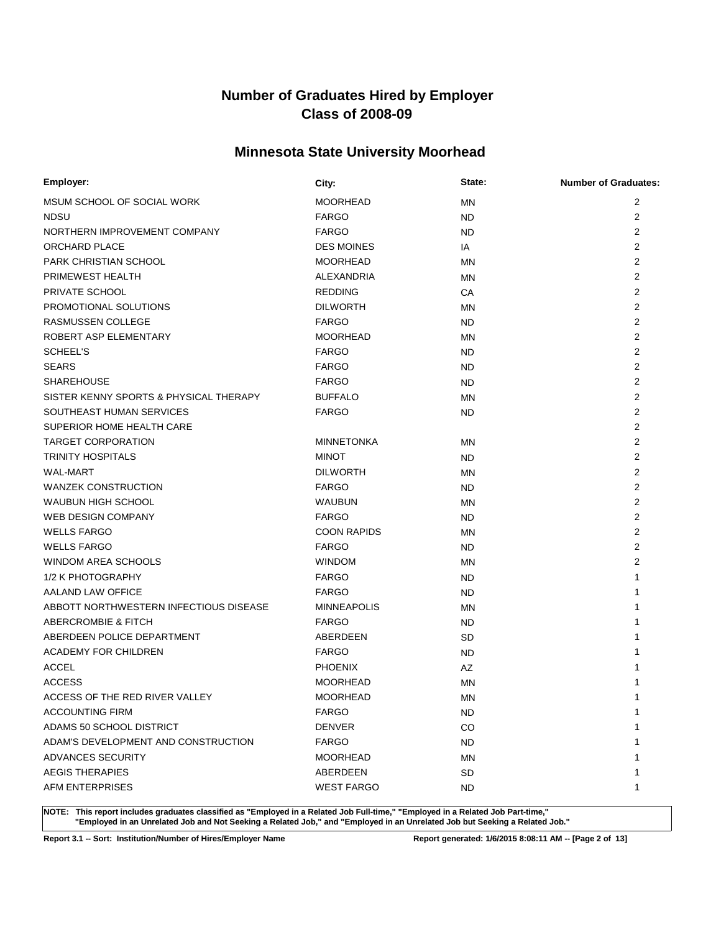### **Minnesota State University Moorhead**

| Employer:                              | City:              | State:    | <b>Number of Graduates:</b> |
|----------------------------------------|--------------------|-----------|-----------------------------|
| MSUM SCHOOL OF SOCIAL WORK             | <b>MOORHEAD</b>    | ΜN        | $\overline{2}$              |
| <b>NDSU</b>                            | <b>FARGO</b>       | ND.       | 2                           |
| NORTHERN IMPROVEMENT COMPANY           | <b>FARGO</b>       | ND.       | 2                           |
| ORCHARD PLACE                          | <b>DES MOINES</b>  | IA        | $\overline{2}$              |
| <b>PARK CHRISTIAN SCHOOL</b>           | <b>MOORHEAD</b>    | ΜN        | 2                           |
| PRIMEWEST HEALTH                       | ALEXANDRIA         | <b>MN</b> | $\overline{2}$              |
| PRIVATE SCHOOL                         | <b>REDDING</b>     | CA        | 2                           |
| PROMOTIONAL SOLUTIONS                  | <b>DILWORTH</b>    | <b>MN</b> | 2                           |
| RASMUSSEN COLLEGE                      | <b>FARGO</b>       | ND.       | $\overline{2}$              |
| ROBERT ASP ELEMENTARY                  | <b>MOORHEAD</b>    | <b>MN</b> | $\overline{2}$              |
| SCHEEL'S                               | <b>FARGO</b>       | ND.       | 2                           |
| <b>SEARS</b>                           | <b>FARGO</b>       | ND.       | $\overline{2}$              |
| <b>SHAREHOUSE</b>                      | <b>FARGO</b>       | ND.       | $\overline{2}$              |
| SISTER KENNY SPORTS & PHYSICAL THERAPY | <b>BUFFALO</b>     | <b>MN</b> | $\overline{2}$              |
| SOUTHEAST HUMAN SERVICES               | <b>FARGO</b>       | ND.       | 2                           |
| SUPERIOR HOME HEALTH CARE              |                    |           | 2                           |
| <b>TARGET CORPORATION</b>              | <b>MINNETONKA</b>  | ΜN        | $\overline{2}$              |
| <b>TRINITY HOSPITALS</b>               | <b>MINOT</b>       | ND.       | 2                           |
| <b>WAL-MART</b>                        | <b>DILWORTH</b>    | MN        | $\overline{2}$              |
| <b>WANZEK CONSTRUCTION</b>             | <b>FARGO</b>       | ND.       | $\overline{2}$              |
| <b>WAUBUN HIGH SCHOOL</b>              | <b>WAUBUN</b>      | MN        | $\overline{2}$              |
| <b>WEB DESIGN COMPANY</b>              | <b>FARGO</b>       | ND.       | $\overline{2}$              |
| <b>WELLS FARGO</b>                     | <b>COON RAPIDS</b> | <b>MN</b> | 2                           |
| <b>WELLS FARGO</b>                     | <b>FARGO</b>       | ND.       | $\overline{2}$              |
| <b>WINDOM AREA SCHOOLS</b>             | <b>WINDOM</b>      | MN        | $\overline{2}$              |
| 1/2 K PHOTOGRAPHY                      | <b>FARGO</b>       | ND.       | 1                           |
| AALAND LAW OFFICE                      | <b>FARGO</b>       | ND.       | 1                           |
| ABBOTT NORTHWESTERN INFECTIOUS DISEASE | <b>MINNEAPOLIS</b> | ΜN        | 1                           |
| ABERCROMBIE & FITCH                    | <b>FARGO</b>       | ND.       | 1                           |
| ABERDEEN POLICE DEPARTMENT             | ABERDEEN           | SD        | 1                           |
| <b>ACADEMY FOR CHILDREN</b>            | <b>FARGO</b>       | ND.       |                             |
| <b>ACCEL</b>                           | <b>PHOENIX</b>     | AZ        |                             |
| <b>ACCESS</b>                          | <b>MOORHEAD</b>    | <b>MN</b> |                             |
| ACCESS OF THE RED RIVER VALLEY         | <b>MOORHEAD</b>    | MN        | 1                           |
| <b>ACCOUNTING FIRM</b>                 | <b>FARGO</b>       | ND.       | 1                           |
| ADAMS 50 SCHOOL DISTRICT               | <b>DENVER</b>      | CO        |                             |
| ADAM'S DEVELOPMENT AND CONSTRUCTION    | <b>FARGO</b>       | ND.       |                             |
| ADVANCES SECURITY                      | <b>MOORHEAD</b>    | ΜN        |                             |
| <b>AEGIS THERAPIES</b>                 | ABERDEEN           | SD        | 1                           |
| <b>AFM ENTERPRISES</b>                 | <b>WEST FARGO</b>  | ND.       | 1                           |

**NOTE: This report includes graduates classified as "Employed in a Related Job Full-time," "Employed in a Related Job Part-time," "Employed in an Unrelated Job and Not Seeking a Related Job," and "Employed in an Unrelated Job but Seeking a Related Job."**

**Report 3.1 -- Sort: Institution/Number of Hires/Employer Name Report generated: 1/6/2015 8:08:11 AM -- [Page 2 of 13]**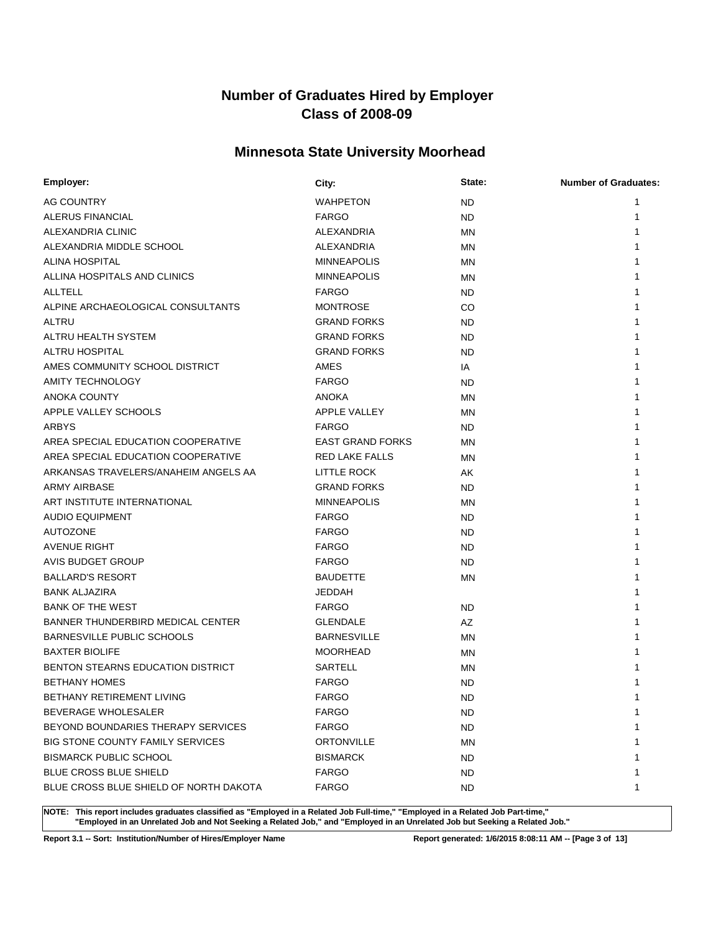### **Minnesota State University Moorhead**

| Employer:                              | City:                   | State:    | <b>Number of Graduates:</b> |
|----------------------------------------|-------------------------|-----------|-----------------------------|
| AG COUNTRY                             | <b>WAHPETON</b>         | ND.       | 1                           |
| ALERUS FINANCIAL                       | <b>FARGO</b>            | ND.       | 1                           |
| ALEXANDRIA CLINIC                      | ALEXANDRIA              | MN        |                             |
| ALEXANDRIA MIDDLE SCHOOL               | ALEXANDRIA              | MN        |                             |
| ALINA HOSPITAL                         | <b>MINNEAPOLIS</b>      | ΜN        |                             |
| ALLINA HOSPITALS AND CLINICS           | <b>MINNEAPOLIS</b>      | <b>MN</b> |                             |
| ALLTELL                                | <b>FARGO</b>            | ND.       |                             |
| ALPINE ARCHAEOLOGICAL CONSULTANTS      | <b>MONTROSE</b>         | CO        |                             |
| ALTRU                                  | <b>GRAND FORKS</b>      | <b>ND</b> |                             |
| ALTRU HEALTH SYSTEM                    | <b>GRAND FORKS</b>      | <b>ND</b> |                             |
| <b>ALTRU HOSPITAL</b>                  | <b>GRAND FORKS</b>      | ND.       |                             |
| AMES COMMUNITY SCHOOL DISTRICT         | AMES                    | IA        |                             |
| <b>AMITY TECHNOLOGY</b>                | <b>FARGO</b>            | <b>ND</b> |                             |
| <b>ANOKA COUNTY</b>                    | <b>ANOKA</b>            | <b>MN</b> |                             |
| APPLE VALLEY SCHOOLS                   | <b>APPLE VALLEY</b>     | MN        |                             |
| ARBYS                                  | <b>FARGO</b>            | ND.       |                             |
| AREA SPECIAL EDUCATION COOPERATIVE     | <b>EAST GRAND FORKS</b> | MN        |                             |
| AREA SPECIAL EDUCATION COOPERATIVE     | <b>RED LAKE FALLS</b>   | MN        |                             |
| ARKANSAS TRAVELERS/ANAHEIM ANGELS AA   | LITTLE ROCK             | AK        |                             |
| <b>ARMY AIRBASE</b>                    | <b>GRAND FORKS</b>      | ND.       |                             |
| ART INSTITUTE INTERNATIONAL            | <b>MINNEAPOLIS</b>      | MN        |                             |
| <b>AUDIO EQUIPMENT</b>                 | <b>FARGO</b>            | ND.       |                             |
| <b>AUTOZONE</b>                        | <b>FARGO</b>            | ND.       |                             |
| <b>AVENUE RIGHT</b>                    | <b>FARGO</b>            | ND.       |                             |
| AVIS BUDGET GROUP                      | <b>FARGO</b>            | ND.       |                             |
| <b>BALLARD'S RESORT</b>                | <b>BAUDETTE</b>         | MN        |                             |
| <b>BANK ALJAZIRA</b>                   | <b>JEDDAH</b>           |           |                             |
| <b>BANK OF THE WEST</b>                | <b>FARGO</b>            | <b>ND</b> |                             |
| BANNER THUNDERBIRD MEDICAL CENTER      | <b>GLENDALE</b>         | AZ        |                             |
| BARNESVILLE PUBLIC SCHOOLS             | <b>BARNESVILLE</b>      | MN        |                             |
| <b>BAXTER BIOLIFE</b>                  | <b>MOORHEAD</b>         | MN        |                             |
| BENTON STEARNS EDUCATION DISTRICT      | <b>SARTELL</b>          | MN        |                             |
| <b>BETHANY HOMES</b>                   | <b>FARGO</b>            | <b>ND</b> |                             |
| BETHANY RETIREMENT LIVING              | <b>FARGO</b>            | <b>ND</b> | 1                           |
| <b>BEVERAGE WHOLESALER</b>             | <b>FARGO</b>            | ND.       | 1                           |
| BEYOND BOUNDARIES THERAPY SERVICES     | <b>FARGO</b>            | ND.       | 1                           |
| BIG STONE COUNTY FAMILY SERVICES       | <b>ORTONVILLE</b>       | ΜN        |                             |
| <b>BISMARCK PUBLIC SCHOOL</b>          | <b>BISMARCK</b>         | ND.       | 1                           |
| BLUE CROSS BLUE SHIELD                 | <b>FARGO</b>            | ND.       | 1                           |
| BLUE CROSS BLUE SHIELD OF NORTH DAKOTA | <b>FARGO</b>            | ND.       | 1                           |

**NOTE: This report includes graduates classified as "Employed in a Related Job Full-time," "Employed in a Related Job Part-time," "Employed in an Unrelated Job and Not Seeking a Related Job," and "Employed in an Unrelated Job but Seeking a Related Job."**

**Report 3.1 -- Sort: Institution/Number of Hires/Employer Name Report generated: 1/6/2015 8:08:11 AM -- [Page 3 of 13]**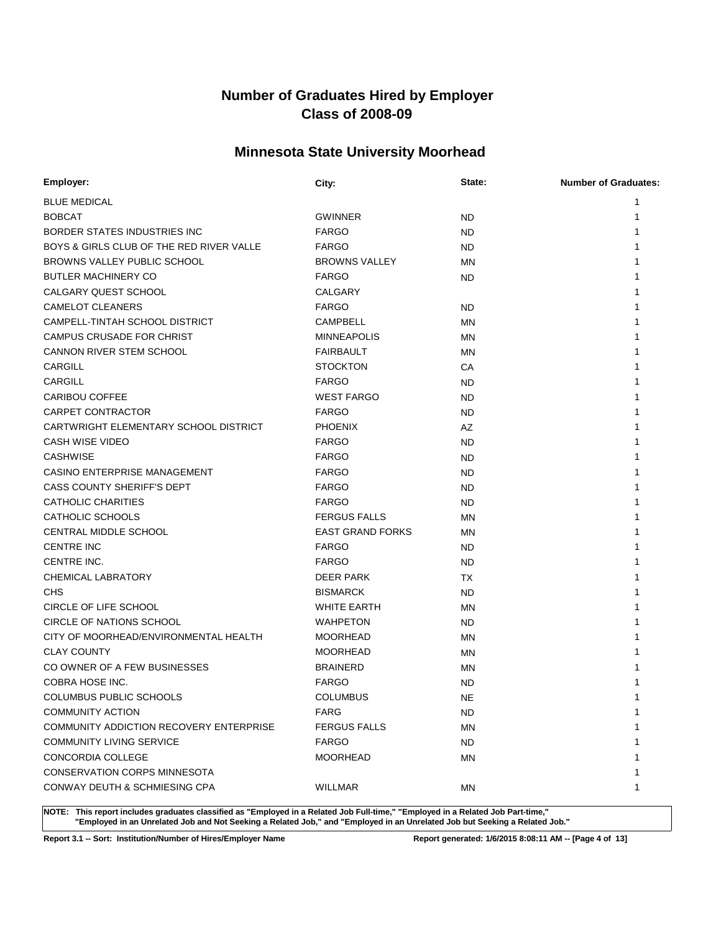### **Minnesota State University Moorhead**

| Employer:                                | City:                   | State:    | <b>Number of Graduates:</b> |
|------------------------------------------|-------------------------|-----------|-----------------------------|
| <b>BLUE MEDICAL</b>                      |                         |           |                             |
| <b>BOBCAT</b>                            | <b>GWINNER</b>          | <b>ND</b> |                             |
| BORDER STATES INDUSTRIES INC             | <b>FARGO</b>            | ND        |                             |
| BOYS & GIRLS CLUB OF THE RED RIVER VALLE | <b>FARGO</b>            | ND        |                             |
| BROWNS VALLEY PUBLIC SCHOOL              | <b>BROWNS VALLEY</b>    | MN        |                             |
| <b>BUTLER MACHINERY CO</b>               | <b>FARGO</b>            | ND.       |                             |
| CALGARY QUEST SCHOOL                     | <b>CALGARY</b>          |           |                             |
| <b>CAMELOT CLEANERS</b>                  | <b>FARGO</b>            | ND        |                             |
| CAMPELL-TINTAH SCHOOL DISTRICT           | <b>CAMPBELL</b>         | MN        |                             |
| <b>CAMPUS CRUSADE FOR CHRIST</b>         | <b>MINNEAPOLIS</b>      | MN        |                             |
| CANNON RIVER STEM SCHOOL                 | <b>FAIRBAULT</b>        | MN        |                             |
| <b>CARGILL</b>                           | <b>STOCKTON</b>         | СA        |                             |
| <b>CARGILL</b>                           | <b>FARGO</b>            | <b>ND</b> |                             |
| <b>CARIBOU COFFEE</b>                    | <b>WEST FARGO</b>       | <b>ND</b> |                             |
| <b>CARPET CONTRACTOR</b>                 | <b>FARGO</b>            | <b>ND</b> |                             |
| CARTWRIGHT ELEMENTARY SCHOOL DISTRICT    | <b>PHOENIX</b>          | AZ        |                             |
| <b>CASH WISE VIDEO</b>                   | <b>FARGO</b>            | ND        |                             |
| <b>CASHWISE</b>                          | <b>FARGO</b>            | ND        |                             |
| CASINO ENTERPRISE MANAGEMENT             | <b>FARGO</b>            | <b>ND</b> |                             |
| CASS COUNTY SHERIFF'S DEPT               | <b>FARGO</b>            | ND        |                             |
| CATHOLIC CHARITIES                       | <b>FARGO</b>            | ND        |                             |
| CATHOLIC SCHOOLS                         | <b>FERGUS FALLS</b>     | MN        |                             |
| CENTRAL MIDDLE SCHOOL                    | <b>EAST GRAND FORKS</b> | MN        |                             |
| <b>CENTRE INC</b>                        | <b>FARGO</b>            | ND        |                             |
| <b>CENTRE INC.</b>                       | <b>FARGO</b>            | ND        |                             |
| <b>CHEMICAL LABRATORY</b>                | <b>DEER PARK</b>        | TX        |                             |
| <b>CHS</b>                               | <b>BISMARCK</b>         | <b>ND</b> |                             |
| CIRCLE OF LIFE SCHOOL                    | <b>WHITE EARTH</b>      | MN        |                             |
| CIRCLE OF NATIONS SCHOOL                 | <b>WAHPETON</b>         | ND        |                             |
| CITY OF MOORHEAD/ENVIRONMENTAL HEALTH    | <b>MOORHEAD</b>         | MN        |                             |
| <b>CLAY COUNTY</b>                       | <b>MOORHEAD</b>         | MN        |                             |
| CO OWNER OF A FEW BUSINESSES             | <b>BRAINERD</b>         | MN        |                             |
| COBRA HOSE INC.                          | <b>FARGO</b>            | <b>ND</b> |                             |
| <b>COLUMBUS PUBLIC SCHOOLS</b>           | <b>COLUMBUS</b>         | <b>NE</b> | 1                           |
| <b>COMMUNITY ACTION</b>                  | <b>FARG</b>             | ND        | 1                           |
| COMMUNITY ADDICTION RECOVERY ENTERPRISE  | <b>FERGUS FALLS</b>     | MN        |                             |
| <b>COMMUNITY LIVING SERVICE</b>          | <b>FARGO</b>            | ND.       |                             |
| <b>CONCORDIA COLLEGE</b>                 | <b>MOORHEAD</b>         | MN        |                             |
| <b>CONSERVATION CORPS MINNESOTA</b>      |                         |           | 1                           |
| CONWAY DEUTH & SCHMIESING CPA            | <b>WILLMAR</b>          | MN        | 1                           |

**NOTE: This report includes graduates classified as "Employed in a Related Job Full-time," "Employed in a Related Job Part-time," "Employed in an Unrelated Job and Not Seeking a Related Job," and "Employed in an Unrelated Job but Seeking a Related Job."**

**Report 3.1 -- Sort: Institution/Number of Hires/Employer Name Report generated: 1/6/2015 8:08:11 AM -- [Page 4 of 13]**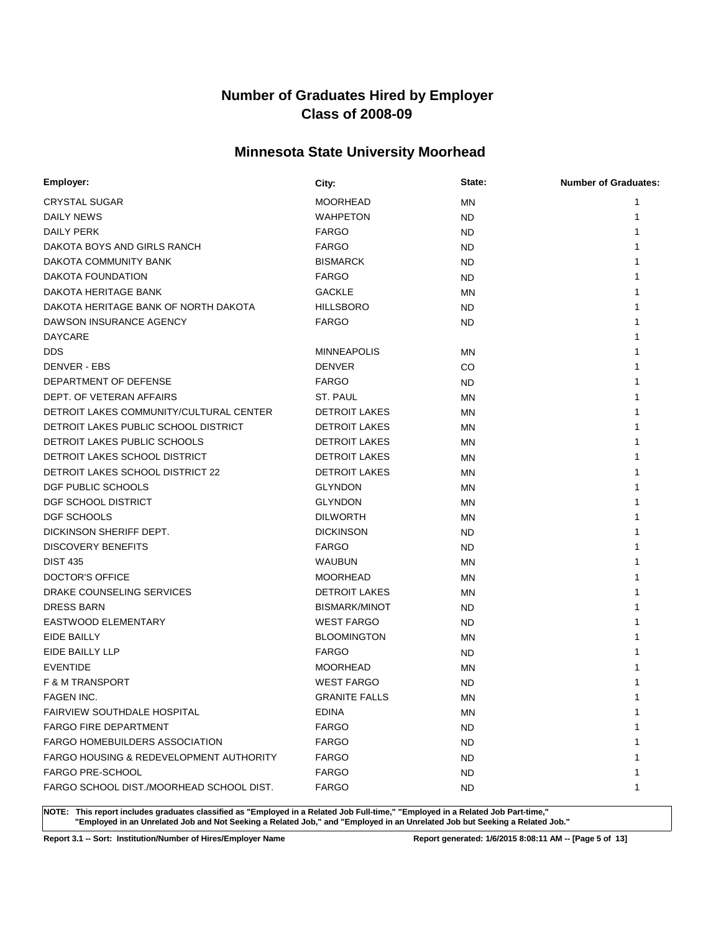### **Minnesota State University Moorhead**

| Employer:                                          | City:                | State:    | <b>Number of Graduates:</b> |
|----------------------------------------------------|----------------------|-----------|-----------------------------|
| <b>CRYSTAL SUGAR</b>                               | <b>MOORHEAD</b>      | MN        | 1                           |
| DAILY NEWS                                         | <b>WAHPETON</b>      | ND        | 1                           |
| <b>DAILY PERK</b>                                  | <b>FARGO</b>         | ND        |                             |
| DAKOTA BOYS AND GIRLS RANCH                        | <b>FARGO</b>         | ND        |                             |
| DAKOTA COMMUNITY BANK                              | <b>BISMARCK</b>      | ND        |                             |
| DAKOTA FOUNDATION                                  | <b>FARGO</b>         | ND        |                             |
| DAKOTA HERITAGE BANK                               | <b>GACKLE</b>        | MN        |                             |
| DAKOTA HERITAGE BANK OF NORTH DAKOTA               | <b>HILLSBORO</b>     | ND        |                             |
| DAWSON INSURANCE AGENCY                            | <b>FARGO</b>         | ND        |                             |
| <b>DAYCARE</b>                                     |                      |           |                             |
| <b>DDS</b>                                         | <b>MINNEAPOLIS</b>   | MN        |                             |
| DENVER - EBS                                       | <b>DENVER</b>        | CO.       |                             |
| DEPARTMENT OF DEFENSE                              | <b>FARGO</b>         | ND        |                             |
| DEPT. OF VETERAN AFFAIRS                           | ST. PAUL             | <b>MN</b> |                             |
| DETROIT LAKES COMMUNITY/CULTURAL CENTER            | <b>DETROIT LAKES</b> | MN        |                             |
| DETROIT LAKES PUBLIC SCHOOL DISTRICT               | <b>DETROIT LAKES</b> | <b>MN</b> |                             |
| DETROIT LAKES PUBLIC SCHOOLS                       | <b>DETROIT LAKES</b> | MN        |                             |
| DETROIT LAKES SCHOOL DISTRICT                      | <b>DETROIT LAKES</b> | <b>MN</b> |                             |
| <b>DETROIT LAKES SCHOOL DISTRICT 22</b>            | <b>DETROIT LAKES</b> | MN        |                             |
| DGF PUBLIC SCHOOLS                                 | <b>GLYNDON</b>       | <b>MN</b> |                             |
| DGF SCHOOL DISTRICT                                | <b>GLYNDON</b>       | <b>MN</b> |                             |
| DGF SCHOOLS                                        | <b>DILWORTH</b>      | <b>MN</b> |                             |
| DICKINSON SHERIFF DEPT.                            | <b>DICKINSON</b>     | ND.       |                             |
| <b>DISCOVERY BENEFITS</b>                          | <b>FARGO</b>         | ND        |                             |
| <b>DIST 435</b>                                    | WAUBUN               | <b>MN</b> |                             |
| DOCTOR'S OFFICE                                    | <b>MOORHEAD</b>      | ΜN        |                             |
| DRAKE COUNSELING SERVICES                          | <b>DETROIT LAKES</b> | ΜN        |                             |
| <b>DRESS BARN</b>                                  | BISMARK/MINOT        | ND.       |                             |
| EASTWOOD ELEMENTARY                                | <b>WEST FARGO</b>    | ND        |                             |
| EIDE BAILLY                                        | <b>BLOOMINGTON</b>   | ΜN        |                             |
| EIDE BAILLY LLP                                    | <b>FARGO</b>         | ND        |                             |
| <b>EVENTIDE</b>                                    | <b>MOORHEAD</b>      | <b>MN</b> |                             |
| <b>F &amp; M TRANSPORT</b>                         | <b>WEST FARGO</b>    | <b>ND</b> |                             |
| <b>FAGEN INC.</b>                                  | <b>GRANITE FALLS</b> | ΜN        | 1                           |
| <b>FAIRVIEW SOUTHDALE HOSPITAL</b>                 | <b>EDINA</b>         | MN        | 1                           |
| <b>FARGO FIRE DEPARTMENT</b>                       | <b>FARGO</b>         | ND.       |                             |
| <b>FARGO HOMEBUILDERS ASSOCIATION</b>              | <b>FARGO</b>         | ND.       |                             |
| <b>FARGO HOUSING &amp; REDEVELOPMENT AUTHORITY</b> | <b>FARGO</b>         | ND.       |                             |
| <b>FARGO PRE-SCHOOL</b>                            | <b>FARGO</b>         | ND.       |                             |
| FARGO SCHOOL DIST./MOORHEAD SCHOOL DIST.           | <b>FARGO</b>         | ND.       | 1                           |

**NOTE: This report includes graduates classified as "Employed in a Related Job Full-time," "Employed in a Related Job Part-time," "Employed in an Unrelated Job and Not Seeking a Related Job," and "Employed in an Unrelated Job but Seeking a Related Job."**

**Report 3.1 -- Sort: Institution/Number of Hires/Employer Name Report generated: 1/6/2015 8:08:11 AM -- [Page 5 of 13]**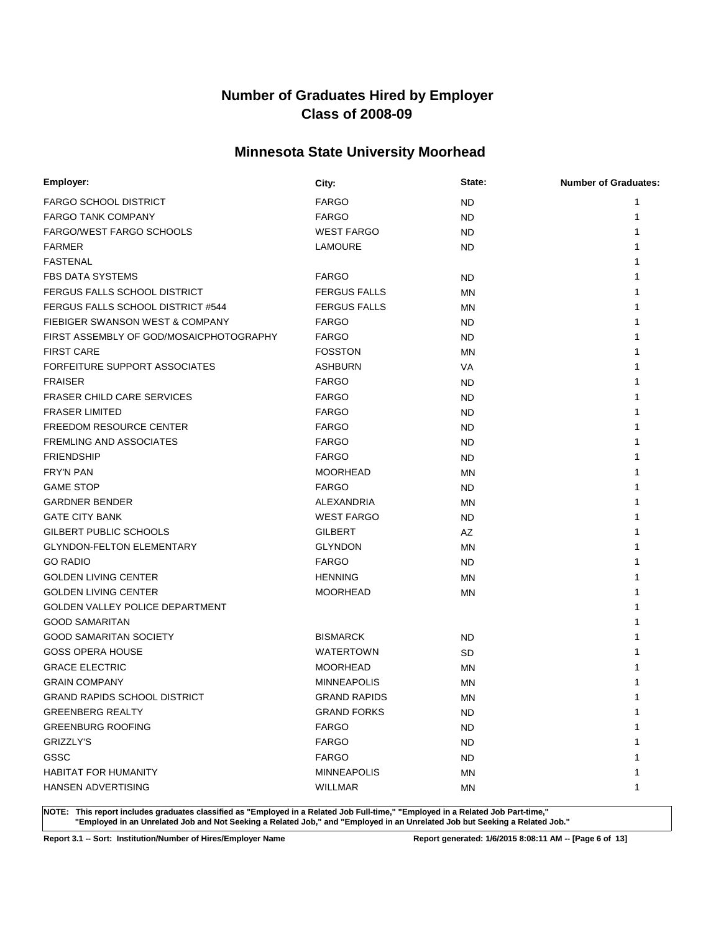### **Minnesota State University Moorhead**

| Employer:                               | City:               | State:    | <b>Number of Graduates:</b> |
|-----------------------------------------|---------------------|-----------|-----------------------------|
| <b>FARGO SCHOOL DISTRICT</b>            | <b>FARGO</b>        | ND        | 1                           |
| <b>FARGO TANK COMPANY</b>               | <b>FARGO</b>        | <b>ND</b> |                             |
| <b>FARGO/WEST FARGO SCHOOLS</b>         | <b>WEST FARGO</b>   | <b>ND</b> |                             |
| <b>FARMER</b>                           | LAMOURE             | <b>ND</b> |                             |
| <b>FASTENAL</b>                         |                     |           |                             |
| <b>FBS DATA SYSTEMS</b>                 | <b>FARGO</b>        | ND.       |                             |
| FERGUS FALLS SCHOOL DISTRICT            | <b>FERGUS FALLS</b> | MN        |                             |
| FERGUS FALLS SCHOOL DISTRICT #544       | <b>FERGUS FALLS</b> | <b>MN</b> |                             |
| FIEBIGER SWANSON WEST & COMPANY         | <b>FARGO</b>        | ND.       |                             |
| FIRST ASSEMBLY OF GOD/MOSAICPHOTOGRAPHY | <b>FARGO</b>        | <b>ND</b> |                             |
| <b>FIRST CARE</b>                       | <b>FOSSTON</b>      | <b>MN</b> |                             |
| FORFEITURE SUPPORT ASSOCIATES           | <b>ASHBURN</b>      | VA        |                             |
| <b>FRAISER</b>                          | <b>FARGO</b>        | ND        |                             |
| <b>FRASER CHILD CARE SERVICES</b>       | <b>FARGO</b>        | ND        |                             |
| <b>FRASER LIMITED</b>                   | <b>FARGO</b>        | ND        |                             |
| <b>FREEDOM RESOURCE CENTER</b>          | <b>FARGO</b>        | ND        |                             |
| <b>FREMLING AND ASSOCIATES</b>          | <b>FARGO</b>        | ND        |                             |
| <b>FRIENDSHIP</b>                       | <b>FARGO</b>        | ND        |                             |
| <b>FRY'N PAN</b>                        | <b>MOORHEAD</b>     | <b>MN</b> |                             |
| <b>GAME STOP</b>                        | <b>FARGO</b>        | ND        |                             |
| <b>GARDNER BENDER</b>                   | ALEXANDRIA          | <b>MN</b> |                             |
| <b>GATE CITY BANK</b>                   | <b>WEST FARGO</b>   | ND        |                             |
| GILBERT PUBLIC SCHOOLS                  | <b>GILBERT</b>      | AZ        |                             |
| <b>GLYNDON-FELTON ELEMENTARY</b>        | <b>GLYNDON</b>      | <b>MN</b> |                             |
| <b>GO RADIO</b>                         | <b>FARGO</b>        | ND.       |                             |
| <b>GOLDEN LIVING CENTER</b>             | <b>HENNING</b>      | <b>MN</b> |                             |
| <b>GOLDEN LIVING CENTER</b>             | <b>MOORHEAD</b>     | MN        |                             |
| GOLDEN VALLEY POLICE DEPARTMENT         |                     |           |                             |
| <b>GOOD SAMARITAN</b>                   |                     |           |                             |
| <b>GOOD SAMARITAN SOCIETY</b>           | <b>BISMARCK</b>     | ND        |                             |
| <b>GOSS OPERA HOUSE</b>                 | <b>WATERTOWN</b>    | <b>SD</b> |                             |
| <b>GRACE ELECTRIC</b>                   | <b>MOORHEAD</b>     | MN        |                             |
| <b>GRAIN COMPANY</b>                    | <b>MINNEAPOLIS</b>  | MN        |                             |
| <b>GRAND RAPIDS SCHOOL DISTRICT</b>     | <b>GRAND RAPIDS</b> | <b>MN</b> | 1                           |
| <b>GREENBERG REALTY</b>                 | <b>GRAND FORKS</b>  | ND.       | $\mathbf{1}$                |
| <b>GREENBURG ROOFING</b>                | <b>FARGO</b>        | <b>ND</b> | 1                           |
| <b>GRIZZLY'S</b>                        | <b>FARGO</b>        | ND.       |                             |
| GSSC                                    | <b>FARGO</b>        | ND.       |                             |
| <b>HABITAT FOR HUMANITY</b>             | <b>MINNEAPOLIS</b>  | ΜN        |                             |
| <b>HANSEN ADVERTISING</b>               | <b>WILLMAR</b>      | ΜN        | 1                           |

**NOTE: This report includes graduates classified as "Employed in a Related Job Full-time," "Employed in a Related Job Part-time," "Employed in an Unrelated Job and Not Seeking a Related Job," and "Employed in an Unrelated Job but Seeking a Related Job."**

**Report 3.1 -- Sort: Institution/Number of Hires/Employer Name Report generated: 1/6/2015 8:08:11 AM -- [Page 6 of 13]**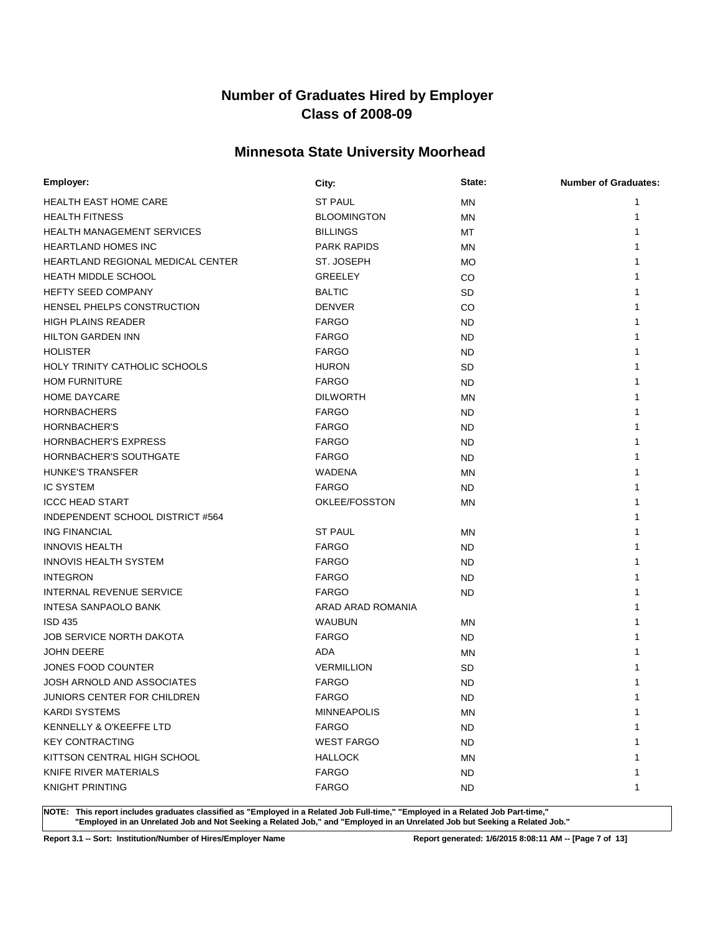### **Minnesota State University Moorhead**

| Employer:                          | City:              | State:    | <b>Number of Graduates:</b> |
|------------------------------------|--------------------|-----------|-----------------------------|
| <b>HEALTH EAST HOME CARE</b>       | <b>ST PAUL</b>     | MN        | 1                           |
| <b>HEALTH FITNESS</b>              | <b>BLOOMINGTON</b> | MN        | 1                           |
| <b>HEALTH MANAGEMENT SERVICES</b>  | <b>BILLINGS</b>    | МT        |                             |
| <b>HEARTLAND HOMES INC</b>         | <b>PARK RAPIDS</b> | MN        |                             |
| HEARTLAND REGIONAL MEDICAL CENTER  | ST. JOSEPH         | MO        |                             |
| <b>HEATH MIDDLE SCHOOL</b>         | <b>GREELEY</b>     | CO        |                             |
| <b>HEFTY SEED COMPANY</b>          | <b>BALTIC</b>      | <b>SD</b> |                             |
| HENSEL PHELPS CONSTRUCTION         | <b>DENVER</b>      | CO        |                             |
| <b>HIGH PLAINS READER</b>          | <b>FARGO</b>       | ND.       |                             |
| <b>HILTON GARDEN INN</b>           | <b>FARGO</b>       | ND.       |                             |
| <b>HOLISTER</b>                    | <b>FARGO</b>       | ND.       |                             |
| HOLY TRINITY CATHOLIC SCHOOLS      | <b>HURON</b>       | SD        |                             |
| <b>HOM FURNITURE</b>               | <b>FARGO</b>       | ND.       |                             |
| HOME DAYCARE                       | <b>DILWORTH</b>    | MN        |                             |
| <b>HORNBACHERS</b>                 | <b>FARGO</b>       | ND.       |                             |
| HORNBACHER'S                       | <b>FARGO</b>       | ND.       |                             |
| <b>HORNBACHER'S EXPRESS</b>        | <b>FARGO</b>       | ND.       |                             |
| HORNBACHER'S SOUTHGATE             | <b>FARGO</b>       | <b>ND</b> |                             |
| <b>HUNKE'S TRANSFER</b>            | WADENA             | MN        |                             |
| <b>IC SYSTEM</b>                   | <b>FARGO</b>       | ND.       |                             |
| <b>ICCC HEAD START</b>             | OKLEE/FOSSTON      | MN        |                             |
| INDEPENDENT SCHOOL DISTRICT #564   |                    |           |                             |
| <b>ING FINANCIAL</b>               | <b>ST PAUL</b>     | ΜN        |                             |
| <b>INNOVIS HEALTH</b>              | <b>FARGO</b>       | ND.       |                             |
| <b>INNOVIS HEALTH SYSTEM</b>       | <b>FARGO</b>       | ND.       |                             |
| <b>INTEGRON</b>                    | <b>FARGO</b>       | ND.       |                             |
| <b>INTERNAL REVENUE SERVICE</b>    | <b>FARGO</b>       | ND.       |                             |
| <b>INTESA SANPAOLO BANK</b>        | ARAD ARAD ROMANIA  |           |                             |
| <b>ISD 435</b>                     | <b>WAUBUN</b>      | MN        |                             |
| <b>JOB SERVICE NORTH DAKOTA</b>    | <b>FARGO</b>       | ND.       |                             |
| <b>JOHN DEERE</b>                  | ADA                | MN        |                             |
| JONES FOOD COUNTER                 | <b>VERMILLION</b>  | SD        |                             |
| JOSH ARNOLD AND ASSOCIATES         | <b>FARGO</b>       | <b>ND</b> |                             |
| <b>JUNIORS CENTER FOR CHILDREN</b> | <b>FARGO</b>       | <b>ND</b> | 1                           |
| <b>KARDI SYSTEMS</b>               | <b>MINNEAPOLIS</b> | ΜN        | 1                           |
| KENNELLY & O'KEEFFE LTD            | <b>FARGO</b>       | ND.       |                             |
| <b>KEY CONTRACTING</b>             | <b>WEST FARGO</b>  | ND.       |                             |
| KITTSON CENTRAL HIGH SCHOOL        | <b>HALLOCK</b>     | ΜN        |                             |
| KNIFE RIVER MATERIALS              | <b>FARGO</b>       | ND.       |                             |
| <b>KNIGHT PRINTING</b>             | <b>FARGO</b>       | ND.       | 1                           |

**NOTE: This report includes graduates classified as "Employed in a Related Job Full-time," "Employed in a Related Job Part-time," "Employed in an Unrelated Job and Not Seeking a Related Job," and "Employed in an Unrelated Job but Seeking a Related Job."**

**Report 3.1 -- Sort: Institution/Number of Hires/Employer Name Report generated: 1/6/2015 8:08:11 AM -- [Page 7 of 13]**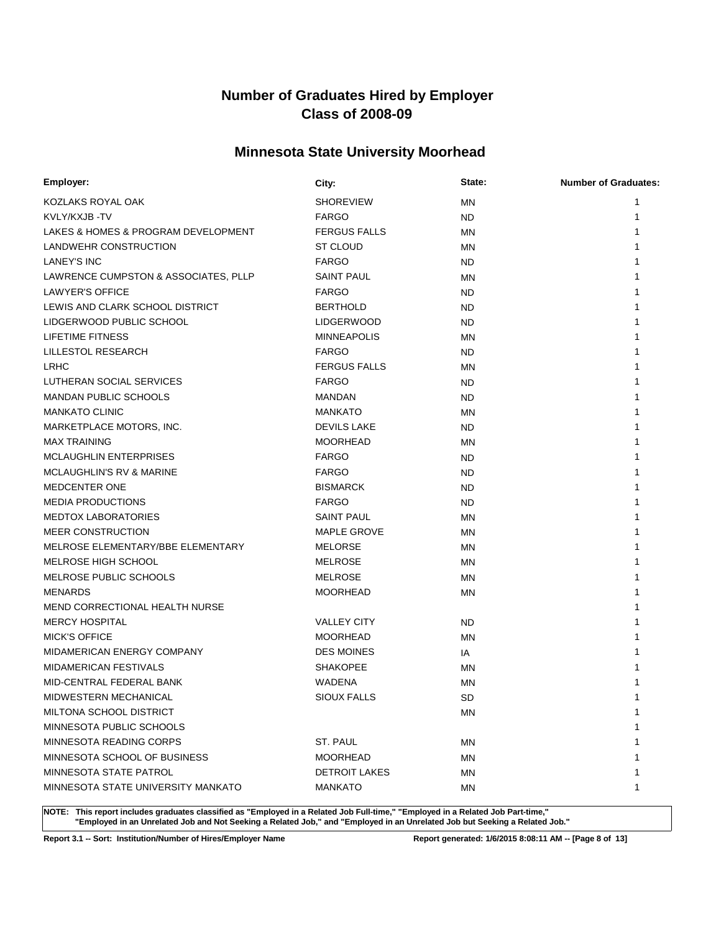### **Minnesota State University Moorhead**

| Employer:                            | City:                | State:    | <b>Number of Graduates:</b> |
|--------------------------------------|----------------------|-----------|-----------------------------|
| KOZLAKS ROYAL OAK                    | <b>SHOREVIEW</b>     | MN        | 1                           |
| KVLY/KXJB-TV                         | <b>FARGO</b>         | ND.       | 1                           |
| LAKES & HOMES & PROGRAM DEVELOPMENT  | <b>FERGUS FALLS</b>  | MN        | 1                           |
| LANDWEHR CONSTRUCTION                | ST CLOUD             | ΜN        |                             |
| <b>LANEY'S INC</b>                   | <b>FARGO</b>         | ND.       |                             |
| LAWRENCE CUMPSTON & ASSOCIATES, PLLP | <b>SAINT PAUL</b>    | ΜN        |                             |
| LAWYER'S OFFICE                      | <b>FARGO</b>         | ND.       |                             |
| LEWIS AND CLARK SCHOOL DISTRICT      | <b>BERTHOLD</b>      | ND.       |                             |
| LIDGERWOOD PUBLIC SCHOOL             | <b>LIDGERWOOD</b>    | ND.       |                             |
| <b>LIFETIME FITNESS</b>              | <b>MINNEAPOLIS</b>   | MN        |                             |
| LILLESTOL RESEARCH                   | <b>FARGO</b>         | ND.       |                             |
| <b>LRHC</b>                          | <b>FERGUS FALLS</b>  | ΜN        |                             |
| LUTHERAN SOCIAL SERVICES             | <b>FARGO</b>         | ND.       |                             |
| <b>MANDAN PUBLIC SCHOOLS</b>         | MANDAN               | ND.       |                             |
| <b>MANKATO CLINIC</b>                | <b>MANKATO</b>       | MN        |                             |
| MARKETPLACE MOTORS, INC.             | <b>DEVILS LAKE</b>   | ND.       |                             |
| <b>MAX TRAINING</b>                  | <b>MOORHEAD</b>      | MN        |                             |
| <b>MCLAUGHLIN ENTERPRISES</b>        | <b>FARGO</b>         | ND.       |                             |
| <b>MCLAUGHLIN'S RV &amp; MARINE</b>  | <b>FARGO</b>         | ND.       |                             |
| <b>MEDCENTER ONE</b>                 | <b>BISMARCK</b>      | ND.       |                             |
| <b>MEDIA PRODUCTIONS</b>             | <b>FARGO</b>         | ND.       |                             |
| <b>MEDTOX LABORATORIES</b>           | <b>SAINT PAUL</b>    | ΜN        |                             |
| <b>MEER CONSTRUCTION</b>             | MAPLE GROVE          | ΜN        |                             |
| MELROSE ELEMENTARY/BBE ELEMENTARY    | <b>MELORSE</b>       | MN        |                             |
| MELROSE HIGH SCHOOL                  | <b>MELROSE</b>       | MN        |                             |
| MELROSE PUBLIC SCHOOLS               | <b>MELROSE</b>       | <b>MN</b> |                             |
| MENARDS                              | <b>MOORHEAD</b>      | MN        |                             |
| MEND CORRECTIONAL HEALTH NURSE       |                      |           |                             |
| <b>MERCY HOSPITAL</b>                | <b>VALLEY CITY</b>   | ND.       |                             |
| <b>MICK'S OFFICE</b>                 | <b>MOORHEAD</b>      | MN        |                             |
| MIDAMERICAN ENERGY COMPANY           | <b>DES MOINES</b>    | IA        |                             |
| <b>MIDAMERICAN FESTIVALS</b>         | <b>SHAKOPEE</b>      | MN        |                             |
| MID-CENTRAL FEDERAL BANK             | <b>WADENA</b>        | MN        |                             |
| MIDWESTERN MECHANICAL                | <b>SIOUX FALLS</b>   | <b>SD</b> | 1                           |
| MILTONA SCHOOL DISTRICT              |                      | ΜN        | 1                           |
| MINNESOTA PUBLIC SCHOOLS             |                      |           |                             |
| MINNESOTA READING CORPS              | ST. PAUL             | ΜN        |                             |
| MINNESOTA SCHOOL OF BUSINESS         | <b>MOORHEAD</b>      | ΜN        |                             |
| MINNESOTA STATE PATROL               | <b>DETROIT LAKES</b> | ΜN        |                             |
| MINNESOTA STATE UNIVERSITY MANKATO   | <b>MANKATO</b>       | ΜN        | 1                           |

**NOTE: This report includes graduates classified as "Employed in a Related Job Full-time," "Employed in a Related Job Part-time," "Employed in an Unrelated Job and Not Seeking a Related Job," and "Employed in an Unrelated Job but Seeking a Related Job."**

**Report 3.1 -- Sort: Institution/Number of Hires/Employer Name Report generated: 1/6/2015 8:08:11 AM -- [Page 8 of 13]**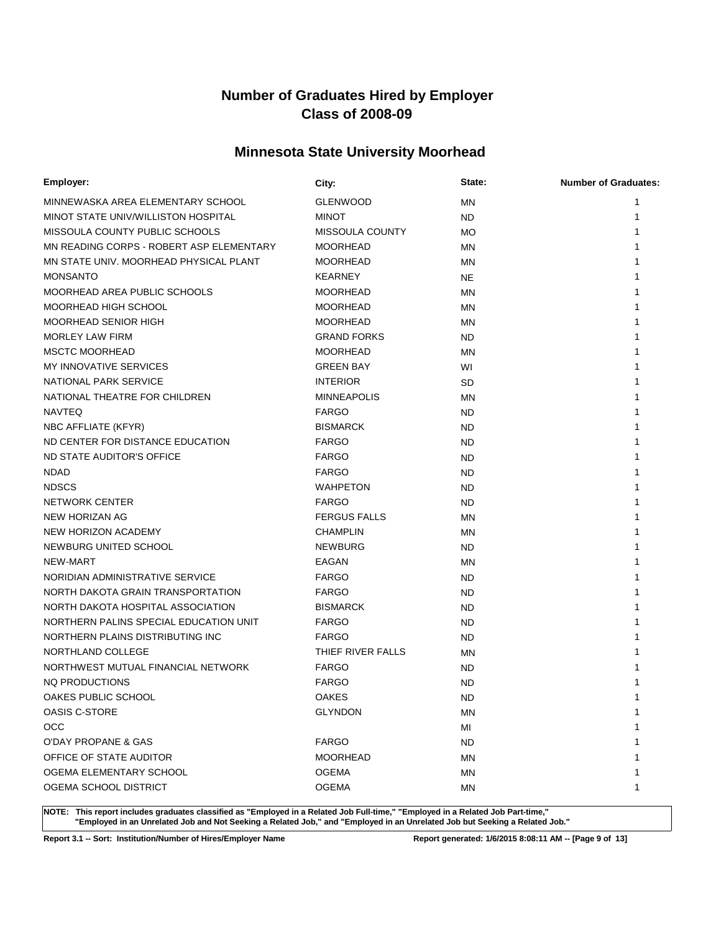### **Minnesota State University Moorhead**

| Employer:                                | City:               | State:    | <b>Number of Graduates:</b> |
|------------------------------------------|---------------------|-----------|-----------------------------|
| MINNEWASKA AREA ELEMENTARY SCHOOL        | <b>GLENWOOD</b>     | <b>MN</b> | 1                           |
| MINOT STATE UNIV/WILLISTON HOSPITAL      | <b>MINOT</b>        | ND.       | 1                           |
| MISSOULA COUNTY PUBLIC SCHOOLS           | MISSOULA COUNTY     | <b>MO</b> |                             |
| MN READING CORPS - ROBERT ASP ELEMENTARY | <b>MOORHEAD</b>     | MN        |                             |
| MN STATE UNIV. MOORHEAD PHYSICAL PLANT   | <b>MOORHEAD</b>     | <b>MN</b> |                             |
| <b>MONSANTO</b>                          | <b>KEARNEY</b>      | <b>NE</b> |                             |
| MOORHEAD AREA PUBLIC SCHOOLS             | <b>MOORHEAD</b>     | <b>MN</b> |                             |
| MOORHEAD HIGH SCHOOL                     | <b>MOORHEAD</b>     | <b>MN</b> |                             |
| MOORHEAD SENIOR HIGH                     | <b>MOORHEAD</b>     | <b>MN</b> |                             |
| <b>MORLEY LAW FIRM</b>                   | <b>GRAND FORKS</b>  | ND.       |                             |
| <b>MSCTC MOORHEAD</b>                    | <b>MOORHEAD</b>     | <b>MN</b> |                             |
| <b>MY INNOVATIVE SERVICES</b>            | <b>GREEN BAY</b>    | WI        |                             |
| NATIONAL PARK SERVICE                    | <b>INTERIOR</b>     | SD        |                             |
| NATIONAL THEATRE FOR CHILDREN            | <b>MINNEAPOLIS</b>  | ΜN        |                             |
| <b>NAVTEQ</b>                            | <b>FARGO</b>        | ND        |                             |
| NBC AFFLIATE (KFYR)                      | <b>BISMARCK</b>     | ND        |                             |
| ND CENTER FOR DISTANCE EDUCATION         | <b>FARGO</b>        | ND        |                             |
| ND STATE AUDITOR'S OFFICE                | <b>FARGO</b>        | ND        |                             |
| <b>NDAD</b>                              | <b>FARGO</b>        | <b>ND</b> |                             |
| <b>NDSCS</b>                             | <b>WAHPETON</b>     | ND        |                             |
| <b>NETWORK CENTER</b>                    | <b>FARGO</b>        | ND.       |                             |
| NEW HORIZAN AG                           | <b>FERGUS FALLS</b> | <b>MN</b> |                             |
| NEW HORIZON ACADEMY                      | <b>CHAMPLIN</b>     | <b>MN</b> |                             |
| NEWBURG UNITED SCHOOL                    | <b>NEWBURG</b>      | <b>ND</b> |                             |
| NEW-MART                                 | EAGAN               | <b>MN</b> |                             |
| NORIDIAN ADMINISTRATIVE SERVICE          | <b>FARGO</b>        | <b>ND</b> |                             |
| NORTH DAKOTA GRAIN TRANSPORTATION        | <b>FARGO</b>        | <b>ND</b> |                             |
| NORTH DAKOTA HOSPITAL ASSOCIATION        | <b>BISMARCK</b>     | <b>ND</b> |                             |
| NORTHERN PALINS SPECIAL EDUCATION UNIT   | <b>FARGO</b>        | <b>ND</b> |                             |
| NORTHERN PLAINS DISTRIBUTING INC         | <b>FARGO</b>        | <b>ND</b> |                             |
| NORTHLAND COLLEGE                        | THIEF RIVER FALLS   | <b>MN</b> |                             |
| NORTHWEST MUTUAL FINANCIAL NETWORK       | <b>FARGO</b>        | ND        |                             |
| NO PRODUCTIONS                           | <b>FARGO</b>        | <b>ND</b> |                             |
| OAKES PUBLIC SCHOOL                      | <b>OAKES</b>        | <b>ND</b> |                             |
| OASIS C-STORE                            | <b>GLYNDON</b>      | ΜN        | 1                           |
| <b>OCC</b>                               |                     | MI        |                             |
| O'DAY PROPANE & GAS                      | <b>FARGO</b>        | <b>ND</b> |                             |
| OFFICE OF STATE AUDITOR                  | <b>MOORHEAD</b>     | <b>MN</b> |                             |
| OGEMA ELEMENTARY SCHOOL                  | <b>OGEMA</b>        | <b>MN</b> |                             |
| OGEMA SCHOOL DISTRICT                    | <b>OGEMA</b>        | MN        | 1                           |

**NOTE: This report includes graduates classified as "Employed in a Related Job Full-time," "Employed in a Related Job Part-time," "Employed in an Unrelated Job and Not Seeking a Related Job," and "Employed in an Unrelated Job but Seeking a Related Job."**

**Report 3.1 -- Sort: Institution/Number of Hires/Employer Name Report generated: 1/6/2015 8:08:11 AM -- [Page 9 of 13]**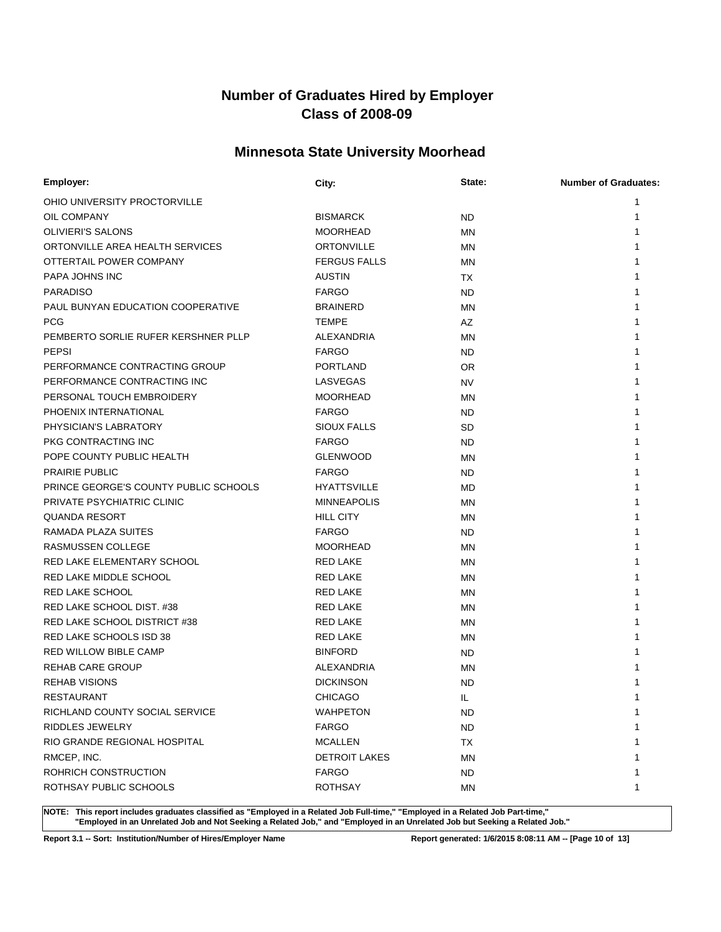### **Minnesota State University Moorhead**

| Employer:                             | City:                | State:    | <b>Number of Graduates:</b> |
|---------------------------------------|----------------------|-----------|-----------------------------|
| OHIO UNIVERSITY PROCTORVILLE          |                      |           | 1                           |
| OIL COMPANY                           | <b>BISMARCK</b>      | ND        | 1                           |
| <b>OLIVIERI'S SALONS</b>              | <b>MOORHEAD</b>      | MN        | 1                           |
| ORTONVILLE AREA HEALTH SERVICES       | <b>ORTONVILLE</b>    | MN        |                             |
| OTTERTAIL POWER COMPANY               | <b>FERGUS FALLS</b>  | MN        |                             |
| PAPA JOHNS INC                        | <b>AUSTIN</b>        | ТX        |                             |
| <b>PARADISO</b>                       | <b>FARGO</b>         | ND        |                             |
| PAUL BUNYAN EDUCATION COOPERATIVE     | <b>BRAINERD</b>      | MN        |                             |
| <b>PCG</b>                            | <b>TEMPE</b>         | AZ        |                             |
| PEMBERTO SORLIE RUFER KERSHNER PLLP   | ALEXANDRIA           | <b>MN</b> |                             |
| <b>PEPSI</b>                          | <b>FARGO</b>         | ND.       |                             |
| PERFORMANCE CONTRACTING GROUP         | <b>PORTLAND</b>      | OR        |                             |
| PERFORMANCE CONTRACTING INC           | LASVEGAS             | <b>NV</b> |                             |
| PERSONAL TOUCH EMBROIDERY             | <b>MOORHEAD</b>      | MN        |                             |
| PHOENIX INTERNATIONAL                 | <b>FARGO</b>         | ND        |                             |
| PHYSICIAN'S LABRATORY                 | <b>SIOUX FALLS</b>   | SD        |                             |
| PKG CONTRACTING INC                   | <b>FARGO</b>         | ND        |                             |
| POPE COUNTY PUBLIC HEALTH             | <b>GLENWOOD</b>      | MN        |                             |
| <b>PRAIRIE PUBLIC</b>                 | <b>FARGO</b>         | ND        |                             |
| PRINCE GEORGE'S COUNTY PUBLIC SCHOOLS | <b>HYATTSVILLE</b>   | MD        |                             |
| PRIVATE PSYCHIATRIC CLINIC            | <b>MINNEAPOLIS</b>   | MN        |                             |
| <b>QUANDA RESORT</b>                  | <b>HILL CITY</b>     | MN        |                             |
| RAMADA PLAZA SUITES                   | <b>FARGO</b>         | ND.       |                             |
| RASMUSSEN COLLEGE                     | <b>MOORHEAD</b>      | MN        |                             |
| RED LAKE ELEMENTARY SCHOOL            | <b>RED LAKE</b>      | <b>MN</b> |                             |
| RED LAKE MIDDLE SCHOOL                | <b>RED LAKE</b>      | <b>MN</b> |                             |
| <b>RED LAKE SCHOOL</b>                | <b>RED LAKE</b>      | ΜN        |                             |
| RED LAKE SCHOOL DIST. #38             | <b>RED LAKE</b>      | MN        |                             |
| RED LAKE SCHOOL DISTRICT #38          | <b>RED LAKE</b>      | MN        |                             |
| RED LAKE SCHOOLS ISD 38               | <b>RED LAKE</b>      | <b>MN</b> |                             |
| <b>RED WILLOW BIBLE CAMP</b>          | <b>BINFORD</b>       | ND        |                             |
| <b>REHAB CARE GROUP</b>               | ALEXANDRIA           | MN        |                             |
| <b>REHAB VISIONS</b>                  | <b>DICKINSON</b>     | <b>ND</b> |                             |
| <b>RESTAURANT</b>                     | <b>CHICAGO</b>       | IL        | 1                           |
| RICHLAND COUNTY SOCIAL SERVICE        | <b>WAHPETON</b>      | ND.       | 1                           |
| <b>RIDDLES JEWELRY</b>                | <b>FARGO</b>         | ND.       |                             |
| RIO GRANDE REGIONAL HOSPITAL          | <b>MCALLEN</b>       | <b>TX</b> |                             |
| RMCEP, INC.                           | <b>DETROIT LAKES</b> | ΜN        |                             |
| ROHRICH CONSTRUCTION                  | <b>FARGO</b>         | <b>ND</b> |                             |
| ROTHSAY PUBLIC SCHOOLS                | <b>ROTHSAY</b>       | ΜN        | 1                           |

**NOTE: This report includes graduates classified as "Employed in a Related Job Full-time," "Employed in a Related Job Part-time," "Employed in an Unrelated Job and Not Seeking a Related Job," and "Employed in an Unrelated Job but Seeking a Related Job."**

**Report 3.1 -- Sort: Institution/Number of Hires/Employer Name Report generated: 1/6/2015 8:08:11 AM -- [Page 10 of 13]**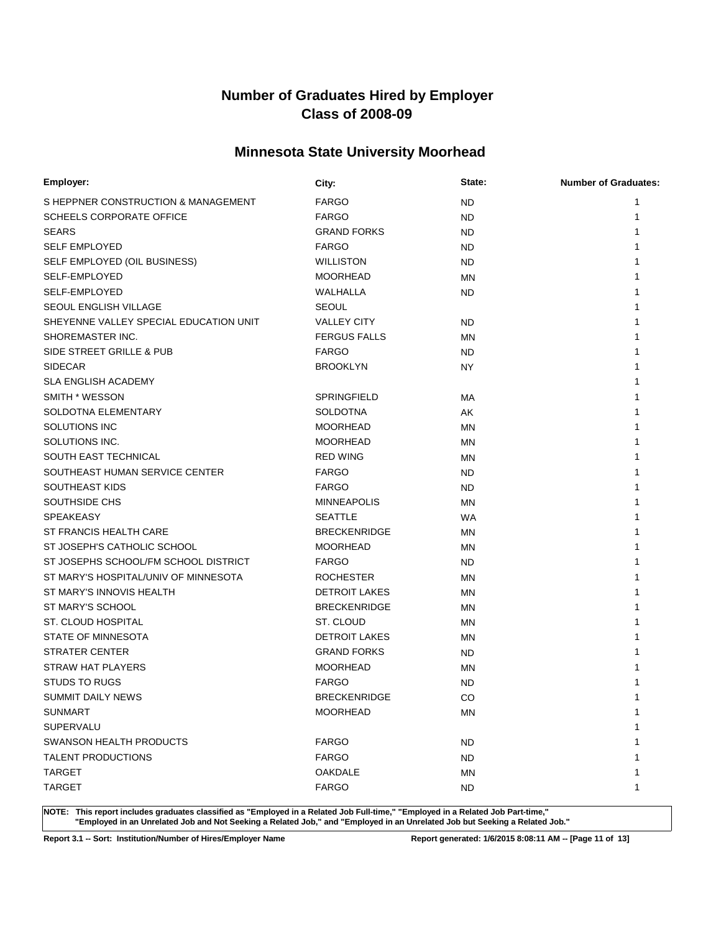### **Minnesota State University Moorhead**

| Employer:                              | City:                | State:    | <b>Number of Graduates:</b> |
|----------------------------------------|----------------------|-----------|-----------------------------|
| S HEPPNER CONSTRUCTION & MANAGEMENT    | <b>FARGO</b>         | <b>ND</b> | 1                           |
| <b>SCHEELS CORPORATE OFFICE</b>        | <b>FARGO</b>         | <b>ND</b> | 1                           |
| <b>SEARS</b>                           | <b>GRAND FORKS</b>   | <b>ND</b> |                             |
| <b>SELF EMPLOYED</b>                   | <b>FARGO</b>         | ND        |                             |
| SELF EMPLOYED (OIL BUSINESS)           | <b>WILLISTON</b>     | ND        |                             |
| SELF-EMPLOYED                          | <b>MOORHEAD</b>      | <b>MN</b> |                             |
| SELF-EMPLOYED                          | WALHALLA             | ND        |                             |
| SEOUL ENGLISH VILLAGE                  | <b>SEOUL</b>         |           |                             |
| SHEYENNE VALLEY SPECIAL EDUCATION UNIT | <b>VALLEY CITY</b>   | <b>ND</b> |                             |
| SHOREMASTER INC.                       | <b>FERGUS FALLS</b>  | MN        |                             |
| SIDE STREET GRILLE & PUB               | <b>FARGO</b>         | ND        |                             |
| <b>SIDECAR</b>                         | <b>BROOKLYN</b>      | NY.       |                             |
| <b>SLA ENGLISH ACADEMY</b>             |                      |           |                             |
| SMITH * WESSON                         | SPRINGFIELD          | MA        |                             |
| SOLDOTNA ELEMENTARY                    | <b>SOLDOTNA</b>      | AK        |                             |
| SOLUTIONS INC                          | <b>MOORHEAD</b>      | MN        |                             |
| SOLUTIONS INC.                         | <b>MOORHEAD</b>      | MN        |                             |
| SOUTH EAST TECHNICAL                   | <b>RED WING</b>      | MN        |                             |
| SOUTHEAST HUMAN SERVICE CENTER         | <b>FARGO</b>         | ND        |                             |
| <b>SOUTHEAST KIDS</b>                  | <b>FARGO</b>         | ND        |                             |
| SOUTHSIDE CHS                          | <b>MINNEAPOLIS</b>   | MN        |                             |
| <b>SPEAKEASY</b>                       | <b>SEATTLE</b>       | <b>WA</b> |                             |
| ST FRANCIS HEALTH CARE                 | <b>BRECKENRIDGE</b>  | MN        |                             |
| ST JOSEPH'S CATHOLIC SCHOOL            | <b>MOORHEAD</b>      | MN        |                             |
| ST JOSEPHS SCHOOL/FM SCHOOL DISTRICT   | <b>FARGO</b>         | ND        |                             |
| ST MARY'S HOSPITAL/UNIV OF MINNESOTA   | <b>ROCHESTER</b>     | <b>MN</b> |                             |
| ST MARY'S INNOVIS HEALTH               | <b>DETROIT LAKES</b> | MN        |                             |
| ST MARY'S SCHOOL                       | <b>BRECKENRIDGE</b>  | MN        |                             |
| ST. CLOUD HOSPITAL                     | ST. CLOUD            | MN        |                             |
| STATE OF MINNESOTA                     | <b>DETROIT LAKES</b> | MN        |                             |
| <b>STRATER CENTER</b>                  | <b>GRAND FORKS</b>   | ND        |                             |
| <b>STRAW HAT PLAYERS</b>               | <b>MOORHEAD</b>      | MN        |                             |
| <b>STUDS TO RUGS</b>                   | <b>FARGO</b>         | <b>ND</b> |                             |
| SUMMIT DAILY NEWS                      | <b>BRECKENRIDGE</b>  | CO        | 1                           |
| <b>SUNMART</b>                         | <b>MOORHEAD</b>      | MN        | 1                           |
| <b>SUPERVALU</b>                       |                      |           |                             |
| SWANSON HEALTH PRODUCTS                | <b>FARGO</b>         | ND.       |                             |
| <b>TALENT PRODUCTIONS</b>              | <b>FARGO</b>         | ND.       |                             |
| <b>TARGET</b>                          | <b>OAKDALE</b>       | MN        |                             |
| <b>TARGET</b>                          | <b>FARGO</b>         | ND.       | 1                           |

**NOTE: This report includes graduates classified as "Employed in a Related Job Full-time," "Employed in a Related Job Part-time," "Employed in an Unrelated Job and Not Seeking a Related Job," and "Employed in an Unrelated Job but Seeking a Related Job."**

**Report 3.1 -- Sort: Institution/Number of Hires/Employer Name Report generated: 1/6/2015 8:08:11 AM -- [Page 11 of 13]**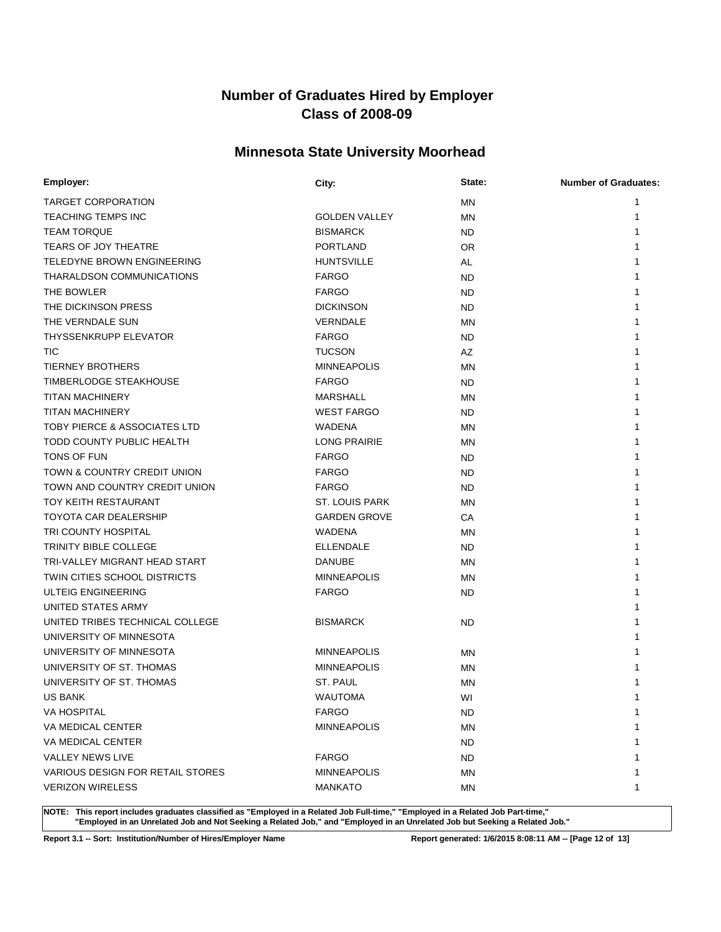### **Minnesota State University Moorhead**

| Employer:                               | City:                | State:    | <b>Number of Graduates:</b> |
|-----------------------------------------|----------------------|-----------|-----------------------------|
| <b>TARGET CORPORATION</b>               |                      | <b>MN</b> |                             |
| <b>TEACHING TEMPS INC</b>               | <b>GOLDEN VALLEY</b> | <b>MN</b> | 1                           |
| <b>TEAM TORQUE</b>                      | <b>BISMARCK</b>      | <b>ND</b> |                             |
| <b>TEARS OF JOY THEATRE</b>             | <b>PORTLAND</b>      | <b>OR</b> |                             |
| TELEDYNE BROWN ENGINEERING              | <b>HUNTSVILLE</b>    | AL        |                             |
| THARALDSON COMMUNICATIONS               | <b>FARGO</b>         | ND        |                             |
| THE BOWLER                              | <b>FARGO</b>         | ND        |                             |
| THE DICKINSON PRESS                     | <b>DICKINSON</b>     | ND.       |                             |
| THE VERNDALE SUN                        | <b>VERNDALE</b>      | <b>MN</b> |                             |
| THYSSENKRUPP ELEVATOR                   | <b>FARGO</b>         | ND        |                             |
| <b>TIC</b>                              | <b>TUCSON</b>        | AZ        |                             |
| <b>TIERNEY BROTHERS</b>                 | <b>MINNEAPOLIS</b>   | MN        |                             |
| TIMBERLODGE STEAKHOUSE                  | <b>FARGO</b>         | ND.       |                             |
| <b>TITAN MACHINERY</b>                  | <b>MARSHALL</b>      | MN        |                             |
| <b>TITAN MACHINERY</b>                  | <b>WEST FARGO</b>    | ND.       |                             |
| <b>TOBY PIERCE &amp; ASSOCIATES LTD</b> | <b>WADENA</b>        | MN        |                             |
| TODD COUNTY PUBLIC HEALTH               | <b>LONG PRAIRIE</b>  | <b>MN</b> |                             |
| <b>TONS OF FUN</b>                      | <b>FARGO</b>         | ND        |                             |
| TOWN & COUNTRY CREDIT UNION             | <b>FARGO</b>         | <b>ND</b> |                             |
| TOWN AND COUNTRY CREDIT UNION           | <b>FARGO</b>         | ND        |                             |
| <b>TOY KEITH RESTAURANT</b>             | ST. LOUIS PARK       | <b>MN</b> |                             |
| <b>TOYOTA CAR DEALERSHIP</b>            | <b>GARDEN GROVE</b>  | CA        |                             |
| TRI COUNTY HOSPITAL                     | <b>WADENA</b>        | <b>MN</b> |                             |
| <b>TRINITY BIBLE COLLEGE</b>            | <b>ELLENDALE</b>     | ND.       |                             |
| TRI-VALLEY MIGRANT HEAD START           | <b>DANUBE</b>        | <b>MN</b> |                             |
| <b>TWIN CITIES SCHOOL DISTRICTS</b>     | <b>MINNEAPOLIS</b>   | <b>MN</b> |                             |
| ULTEIG ENGINEERING                      | <b>FARGO</b>         | ND.       |                             |
| UNITED STATES ARMY                      |                      |           |                             |
| UNITED TRIBES TECHNICAL COLLEGE         | <b>BISMARCK</b>      | ND        |                             |
| UNIVERSITY OF MINNESOTA                 |                      |           |                             |
| UNIVERSITY OF MINNESOTA                 | <b>MINNEAPOLIS</b>   | MN        |                             |
| UNIVERSITY OF ST. THOMAS                | <b>MINNEAPOLIS</b>   | <b>MN</b> |                             |
| UNIVERSITY OF ST. THOMAS                | ST. PAUL             | MN        |                             |
| <b>US BANK</b>                          | <b>WAUTOMA</b>       | WI        | 1                           |
| VA HOSPITAL                             | <b>FARGO</b>         | ND.       | 1                           |
| VA MEDICAL CENTER                       | <b>MINNEAPOLIS</b>   | <b>MN</b> |                             |
| VA MEDICAL CENTER                       |                      | ND.       |                             |
| <b>VALLEY NEWS LIVE</b>                 | <b>FARGO</b>         | ND.       |                             |
| <b>VARIOUS DESIGN FOR RETAIL STORES</b> | <b>MINNEAPOLIS</b>   | ΜN        |                             |
| <b>VERIZON WIRELESS</b>                 | <b>MANKATO</b>       | ΜN        | 1                           |

**NOTE: This report includes graduates classified as "Employed in a Related Job Full-time," "Employed in a Related Job Part-time," "Employed in an Unrelated Job and Not Seeking a Related Job," and "Employed in an Unrelated Job but Seeking a Related Job."**

**Report 3.1 -- Sort: Institution/Number of Hires/Employer Name Report generated: 1/6/2015 8:08:11 AM -- [Page 12 of 13]**